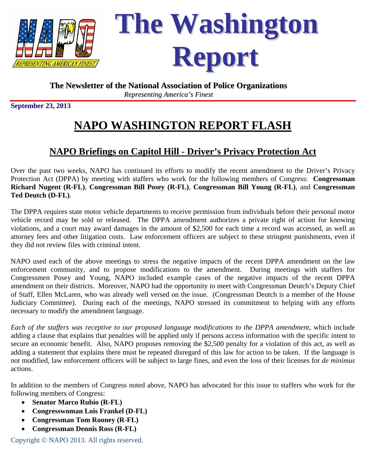

# **The Washington Report**

### **The Newsletter of the National Association of Police Organizations** *Representing America's Finest*

**September 23, 2013** 

## **NAPO WASHINGTON REPORT FLASH**

## **NAPO Briefings on Capitol Hill - Driver's Privacy Protection Act**

Over the past two weeks, NAPO has continued its efforts to modify the recent amendment to the Driver's Privacy Protection Act (DPPA) by meeting with staffers who work for the following members of Congress: **Congressman Richard Nugent (R-FL)**, **Congressman Bill Posey (R-FL)**, **Congressman Bill Young (R-FL)**, and **Congressman Ted Deutch (D-FL)**.

The DPPA requires state motor vehicle departments to receive permission from individuals before their personal motor vehicle record may be sold or released. The DPPA amendment authorizes a private right of action for knowing violations, and a court may award damages in the amount of \$2,500 for each time a record was accessed, as well as attorney fees and other litigation costs. Law enforcement officers are subject to these stringent punishments, even if they did not review files with criminal intent.

NAPO used each of the above meetings to stress the negative impacts of the recent DPPA amendment on the law enforcement community, and to propose modifications to the amendment. During meetings with staffers for Congressmen Posey and Young, NAPO included example cases of the negative impacts of the recent DPPA amendment on their districts. Moreover, NAPO had the opportunity to meet with Congressman Deutch's Deputy Chief of Staff, Ellen McLaren, who was already well versed on the issue. (Congressman Deutch is a member of the House Judiciary Committee). During each of the meetings, NAPO stressed its commitment to helping with any efforts necessary to modify the amendment language.

*Each of the staffers was receptive to our proposed language modifications to the DPPA amendment*, which include adding a clause that explains that penalties will be applied only if persons access information with the specific intent to secure an economic benefit. Also, NAPO proposes removing the \$2,500 penalty for a violation of this act, as well as adding a statement that explains there must be repeated disregard of this law for action to be taken. If the language is not modified, law enforcement officers will be subject to large fines, and even the loss of their licenses for *de minimus* actions.

In addition to the members of Congress noted above, NAPO has advocated for this issue to staffers who work for the following members of Congress:

- **Senator Marco Rubio (R-FL)**
- **Congresswoman Lois Frankel (D-FL)**
- **Congressman Tom Rooney (R-FL)**
- **Congressman Dennis Ross (R-FL)**

Copyright © NAPO 2013. All rights reserved.